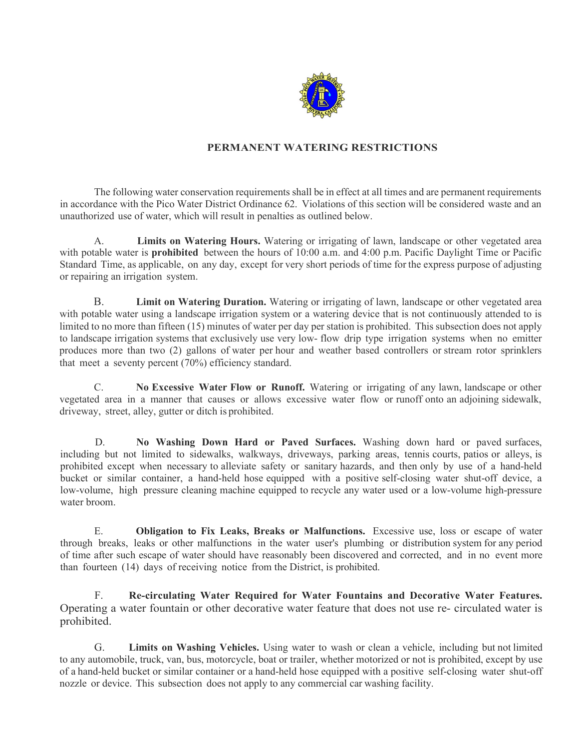

## **PERMANENT WATERING RESTRICTIONS**

The following water conservation requirements shall be in effect at all times and are permanent requirements in accordance with the Pico Water District Ordinance 62. Violations of this section will be considered waste and an unauthorized use of water, which will result in penalties as outlined below.

A. **Limits on Watering Hours.** Watering or irrigating of lawn, landscape or other vegetated area with potable water is **prohibited** between the hours of 10:00 a.m. and 4:00 p.m. Pacific Daylight Time or Pacific Standard Time, as applicable, on any day, except for very short periods of time for the express purpose of adjusting or repairing an irrigation system.

B. **Limit on Watering Duration.** Watering or irrigating of lawn, landscape or other vegetated area with potable water using a landscape irrigation system or a watering device that is not continuously attended to is limited to no more than fifteen (15) minutes of water per day per station is prohibited. This subsection does not apply to landscape irrigation systems that exclusively use very low- flow drip type irrigation systems when no emitter produces more than two (2) gallons of water per hour and weather based controllers or stream rotor sprinklers that meet a seventy percent (70%) efficiency standard.

C. **No Excessive Water Flow or Runoff.** Watering or irrigating of any lawn, landscape or other vegetated area in a manner that causes or allows excessive water flow or runoff onto an adjoining sidewalk, driveway, street, alley, gutter or ditch is prohibited.

D. **No Washing Down Hard or Paved Surfaces.** Washing down hard or paved surfaces, including but not limited to sidewalks, walkways, driveways, parking areas, tennis courts, patios or alleys, is prohibited except when necessary to alleviate safety or sanitary hazards, and then only by use of a hand-held bucket or similar container, a hand-held hose equipped with a positive self-closing water shut-off device, a low-volume, high pressure cleaning machine equipped to recycle any water used or a low-volume high-pressure water broom.

E. **Obligation to Fix Leaks, Breaks or Malfunctions.** Excessive use, loss or escape of water through breaks, leaks or other malfunctions in the water user's plumbing or distribution system for any period of time after such escape of water should have reasonably been discovered and corrected, and in no event more than fourteen (14) days of receiving notice from the District, is prohibited.

F. **Re-circulating Water Required for Water Fountains and Decorative Water Features.**  Operating a water fountain or other decorative water feature that does not use re- circulated water is prohibited.

G. **Limits on Washing Vehicles.** Using water to wash or clean a vehicle, including but not limited to any automobile, truck, van, bus, motorcycle, boat or trailer, whether motorized or not is prohibited, except by use of a hand-held bucket or similar container or a hand-held hose equipped with a positive self-closing water shut-off nozzle or device. This subsection does not apply to any commercial car washing facility.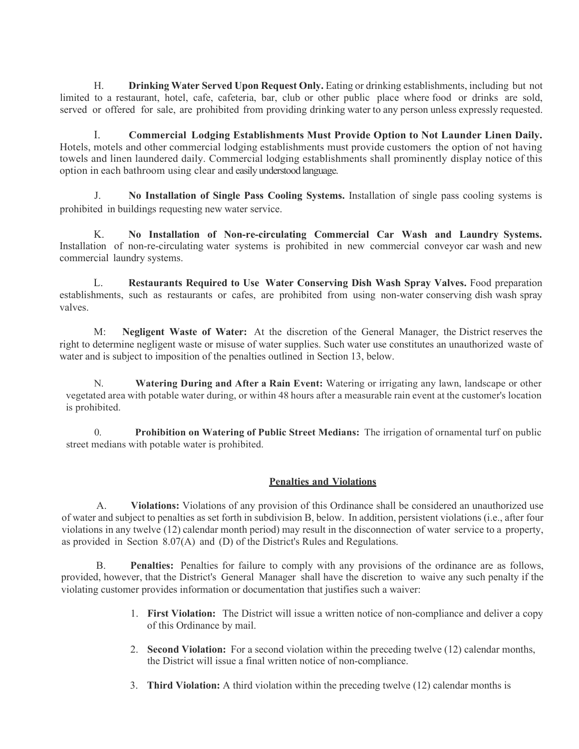H. **Drinking Water Served Upon Request Only.** Eating or drinking establishments, including but not limited to a restaurant, hotel, cafe, cafeteria, bar, club or other public place where food or drinks are sold, served or offered for sale, are prohibited from providing drinking water to any person unless expressly requested.

I. **Commercial Lodging Establishments Must Provide Option to Not Launder Linen Daily.** Hotels, motels and other commercial lodging establishments must provide customers the option of not having towels and linen laundered daily. Commercial lodging establishments shall prominently display notice of this option in each bathroom using clear and easily understood language.

J. **No Installation of Single Pass Cooling Systems.** Installation of single pass cooling systems is prohibited in buildings requesting new water service.

K. **No Installation of Non-re-circulating Commercial Car Wash and Laundry Systems.** Installation of non-re-circulating water systems is prohibited in new commercial conveyor car wash and new commercial laundry systems.

L. **Restaurants Required to Use Water Conserving Dish Wash Spray Valves.** Food preparation establishments, such as restaurants or cafes, are prohibited from using non-water conserving dish wash spray valves.

M: **Negligent Waste of Water:** At the discretion of the General Manager, the District reserves the right to determine negligent waste or misuse of water supplies. Such water use constitutes an unauthorized waste of water and is subject to imposition of the penalties outlined in Section 13, below.

N. **Watering During and After a Rain Event:** Watering or irrigating any lawn, landscape or other vegetated area with potable water during, or within 48 hours after a measurable rain event at the customer's location is prohibited.

0. **Prohibition on Watering of Public Street Medians:** The irrigation of ornamental turf on public street medians with potable water is prohibited.

## **Penalties and Violations**

A. **Violations:** Violations of any provision of this Ordinance shall be considered an unauthorized use of water and subject to penalties as set forth in subdivision B, below. In addition, persistent violations (i.e., after four violations in any twelve (12) calendar month period) may result in the disconnection of water service to a property, as provided in Section 8.07(A) and (D) of the District's Rules and Regulations.

B. **Penalties:** Penalties for failure to comply with any provisions of the ordinance are as follows, provided, however, that the District's General Manager shall have the discretion to waive any such penalty if the violating customer provides information or documentation that justifies such a waiver:

- 1. **First Violation:** The District will issue a written notice of non-compliance and deliver a copy of this Ordinance by mail.
- 2. **Second Violation:** For a second violation within the preceding twelve (12) calendar months, the District will issue a final written notice of non-compliance.
- 3. **Third Violation:** A third violation within the preceding twelve (12) calendar months is